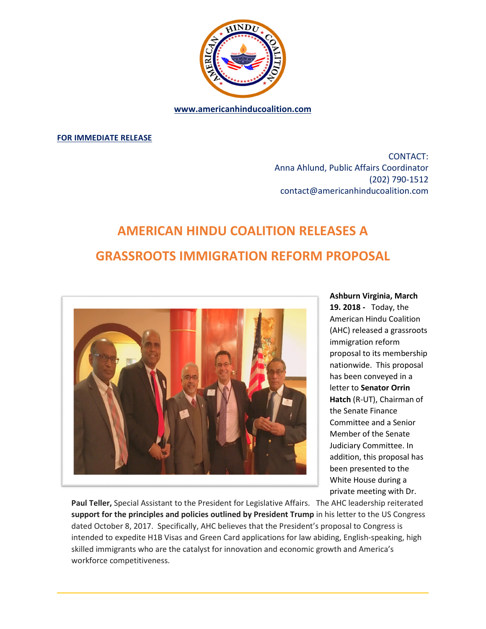

**www.americanhinducoalition.com** 

**FOR IMMEDIATE RELEASE** 

CONTACT: Anna Ahlund, Public Affairs Coordinator (202) 790-1512 contact@americanhinducoalition.com

## **AMERICAN HINDU COALITION RELEASES A GRASSROOTS IMMIGRATION REFORM PROPOSAL**



**Ashburn Virginia, March** 

**19. 2018 -** Today, the American Hindu Coalition (AHC) released a grassroots immigration reform proposal to its membership nationwide. This proposal has been conveyed in a letter to **Senator Orrin Hatch** (R-UT), Chairman of the Senate Finance Committee and a Senior Member of the Senate Judiciary Committee. In addition, this proposal has been presented to the White House during a private meeting with Dr.

**Paul Teller,** Special Assistant to the President for Legislative Affairs. The AHC leadership reiterated **support for the principles and policies outlined by President Trump** in his letter to the US Congress dated October 8, 2017. Specifically, AHC believes that the President's proposal to Congress is intended to expedite H1B Visas and Green Card applications for law abiding, English-speaking, high skilled immigrants who are the catalyst for innovation and economic growth and America's workforce competitiveness.